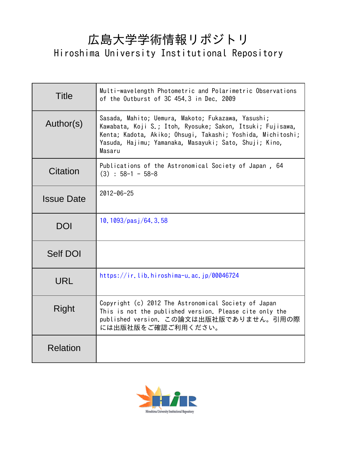# 広島大学学術情報リポジトリ Hiroshima University Institutional Repository

| Title             | Multi-wavelength Photometric and Polarimetric Observations<br>of the Outburst of 3C 454.3 in Dec. 2009                                                                                                                                              |  |  |
|-------------------|-----------------------------------------------------------------------------------------------------------------------------------------------------------------------------------------------------------------------------------------------------|--|--|
| Author(s)         | Sasada, Mahito; Uemura, Makoto; Fukazawa, Yasushi;<br>Kawabata, Koji S.; Itoh, Ryosuke; Sakon, Itsuki; Fujisawa,<br>Kenta; Kadota, Akiko; Ohsugi, Takashi; Yoshida, Michitoshi;<br>Yasuda, Hajimu, Yamanaka, Masayuki, Sato, Shuji, Kino,<br>Masaru |  |  |
| Citation          | Publications of the Astronomical Society of Japan, 64<br>$(3) : 58-1 - 58-8$                                                                                                                                                                        |  |  |
| <b>Issue Date</b> | $2012 - 06 - 25$                                                                                                                                                                                                                                    |  |  |
| <b>DOI</b>        | 10.1093/pasj/64.3.58                                                                                                                                                                                                                                |  |  |
| Self DOI          |                                                                                                                                                                                                                                                     |  |  |
| URL               | https://ir.lib.hiroshima-u.ac.jp/00046724                                                                                                                                                                                                           |  |  |
| Right             | Copyright (c) 2012 The Astronomical Society of Japan<br>This is not the published version. Please cite only the<br>published version. この論文は出版社版でありません。引用の際<br>には出版社版をご確認ご利用ください。                                                                    |  |  |
| <b>Relation</b>   |                                                                                                                                                                                                                                                     |  |  |

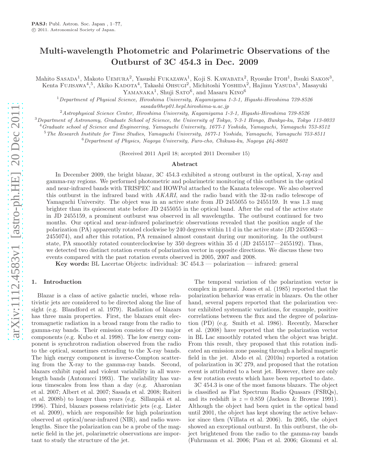# Multi-wavelength Photometric and Polarimetric Observations of the Outburst of 3C 454.3 in Dec. 2009

Mahito SASADA<sup>1</sup>, Makoto UEMURA<sup>2</sup>, Yasushi FUKAZAWA<sup>1</sup>, Koji S. KAWABATA<sup>2</sup>, Ryosuke ITOH<sup>1</sup>, Itsuki SAKON<sup>3</sup>, Kenta Fujisawa<sup>4</sup>,<sup>5</sup>, Akiko Kadota<sup>4</sup>, Takashi Ohsugi<sup>2</sup>, Michitoshi Yoshida<sup>2</sup>, Hajimu Yasuda<sup>1</sup>, Masayuki

YAMANAKA<sup>1</sup>, Shuji SATO<sup>6</sup>, and Masaru KINO<sup>6</sup>

<sup>1</sup>Department of Physical Science, Hiroshima University, Kagamiyama 1-3-1, Higashi-Hiroshima 739-8526 sasada@hep01.hepl.hiroshima-u.ac.jp

 $^2$ Astrophysical Science Center, Hiroshima University, Kagamiyama 1-3-1, Higashi-Hiroshima 739-8526

<sup>3</sup>Department of Astronomy, Graduate School of Science, the University of Tokyo, 7-3-1 Hongo, Bunkyo-ku, Tokyo 113-0033

 $^{4}$ Graduate school of Science and Engineering, Yamaguchi University, 1677-1 Yoshida, Yamaguchi, Yamaguchi 753-8512

<sup>5</sup>The Research Institute for Time Studies, Yamaguchi University, 1677-1 Yoshida, Yamaguchi, Yamaguchi 753-8511

 $6$ Department of Physics, Nagoya University, Furo-cho, Chikusa-ku, Nagoya 464-8602

(Received 2011 April 18; accepted 2011 December 15)

#### Abstract

In December 2009, the bright blazar, 3C 454.3 exhibited a strong outburst in the optical, X-ray and gamma-ray regions. We performed photometric and polarimetric monitoring of this outburst in the optical and near-infrared bands with TRISPEC and HOWPol attached to the Kanata telescope. We also observed this outburst in the infrared band with AKARI, and the radio band with the 32-m radio telescope of Yamaguchi University. The object was in an active state from JD 2455055 to 2455159. It was 1.3 mag brighter than its quiescent state before JD 2455055 in the optical band. After the end of the active state in JD 2455159, a prominent outburst was observed in all wavelengths. The outburst continued for two months. Our optical and near-infrared polarimetric observations revealed that the position angle of the polarization (PA) apparently rotated clockwise by 240 degrees within 11 d in the active state (JD 2455063— 2455074), and after this rotation, PA remained almost constant during our monitoring. In the outburst state, PA smoothly rotated counterclockwise by 350 degrees within 35 d (JD 2455157—2455192). Thus, we detected two distinct rotation events of polarization vector in opposite directions. We discuss these two events compared with the past rotation events observed in 2005, 2007 and 2008.

Key words: BL Lacertae Objects: individual: 3C 454.3 — polarization — infrared: general

#### 1. Introduction

Blazar is a class of active galactic nuclei, whose relativistic jets are considered to be directed along the line of sight (e.g. Blandford et al. 1979). Radiation of blazars has three main properties. First, the blazars emit electromagnetic radiation in a broad range from the radio to gamma-ray bands. Their emission consists of two major components (e.g. Kubo et al. 1998). The low energy component is synchrotron radiation observed from the radio to the optical, sometimes extending to the X-ray bands. The high energy component is inverse-Compton scattering from the X-ray to the gamma-ray bands. Second, blazars exhibit rapid and violent variability in all wavelength bands (Antonucci 1993). The variability has various timescales from less than a day (e.g. Aharonian et al. 2007; Albert et al. 2007; Sasada et al. 2008; Raiteri et al. 2008b) to longer than years (e.g. Sillanpää et al. 1996). Third, blazars possess relativistic jets (e.g. Lister et al. 2009), which are responsible for high polarization observed at optical/near-infrared (NIR), and radio wavelengths. Since the polarization can be a probe of the magnetic field in the jet, polarimetric observations are important to study the structure of the jet.

The temporal variation of the polarization vector is complex in general. Jones et al. (1985) reported that the polarization behavior was erratic in blazars. On the other hand, several papers reported that the polarization vector exhibited systematic variations, for example, positive correlations between the flux and the degree of polarization (PD) (e.g. Smith et al. 1986). Recently, Marscher et al. (2008) have reported that the polarization vector in BL Lac smoothly rotated when the object was bright. From this result, they proposed that this rotation indicated an emission zone passing through a helical magnetic field in the jet. Abdo et al. (2010a) reported a rotation of polarization in 3C 279, and proposed that the rotation event is attributed to a bent jet. However, there are only a few rotation events which have been reported to date.

3C 454.3 is one of the most famous blazars. The object is classified as Flat Spectrum Radio Quasars (FSRQs), and its redshift is  $z = 0.859$  (Jackson & Browne 1991). Although the object had been quiet in the optical band until 2001, the object has kept showing the active behavior since then (Villata et al. 2006). In 2005, the object showed an exceptional outburst. In this outburst, the object brightened from the radio to the gamma-ray bands (Fuhrmann et al. 2006; Pian et al. 2006; Giommi et al.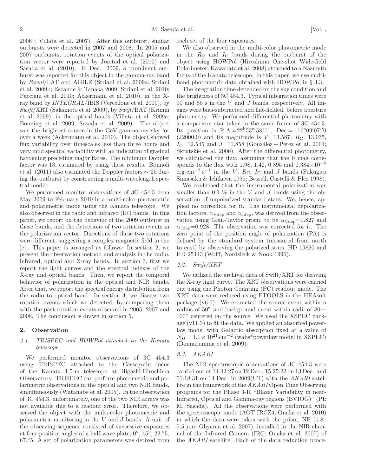2006 ; Villata et al. 2007). After this outburst, similar outbursts were detected in 2007 and 2008. In 2005 and 2007 outbursts, rotation events of the optical polarization vector were reported by Jorstad et al. (2010) and Sasada et al. (2010). In Dec. 2009, a prominent outburst was reported for this object in the gamma-ray band by Fermi/LAT and AGILE (Striani et al. 2009a; Striani et al. 2009b; Escande & Tanaka 2009; Striani et al. 2010; Pacciani et al. 2010; Ackermann et al. 2010), in the Xray band by INTEGRAL/IBIS (Vercellone et al. 2009), by  $Swift/XRT$  (Sakamoto et al. 2009), by  $Swift/BAT$  (Krimm) et al. 2009), in the optical bands (Villata et al. 2009a; Bonning et al. 2009; Sasada et al. 2009). The object was the brightest source in the GeV-gamma-ray sky for over a week (Ackermann et al. 2010). The object showed flux variability over timescales less than three hours and very mild spectral variability with an indication of gradual hardening preceding major flares. The minimum Doppler factor was 13, estimated by using these results. Bonnoli et al. (2011) also estimated the Doppler factors ∼ 25 during the outburst by constructing a multi-wavelength spectral model.

We performed monitor observations of 3C 454.3 from May 2009 to February 2010 in a multi-color photometric and polarimetric mode using the Kanata telescope. We also observed in the radio and infrared (IR) bands. In this paper, we report on the behavior of the 2009 outburst in these bands, and the detections of two rotation events in the polarization vector. Directions of these two rotations were different, suggesting a complex magnetic field in the jet. This paper is arranged as follows: In section 2, we present the observation method and analysis in the radio, infrared, optical and X-ray bands. In section 3, first we report the light curves and the spectral indexes of the X-ray and optical bands. Then, we report the temporal behavior of polarization in the optical and NIR bands. After that, we report the spectral energy distribution from the radio to optical band. In section 4, we discuss two rotation events which we detected, by comparing them with the past rotation events observed in 2005, 2007 and 2008. The conclusion is drawn in section 5.

#### 2. Observation

# 2.1. TRISPEC and HOWPol attached to the Kanata telescope

We performed monitor observations of 3C 454.3 using TRISPEC attached to the Cassegrain focus of the Kanata 1.5-m telescope at Higashi-Hiroshima Observatory. TRISPEC can perform photometric and polarimetric observations in the optical and two NIR bands, simultaneously (Watanabe et al. 2005). In the observation of 3C 454.3, unfortunately, one of the two NIR arrays was not available due to a readout error. Therefore, we observed the object with the multi-color photometric and polarimetric monitoring in the V and J bands. A unit of the observing sequence consisted of successive exposures at four position angles of a half-wave plate;  $0^\circ$ ,  $45^\circ$ ,  $22.\textdegree 5$ , 67.◦5. A set of polarization parameters was derived from

each set of the four exposures.

We also observed in the multi-color photometric mode in the  $R_{\rm C}$  and  $I_{\rm C}$  bands during the outburst of the object using HOWPol (Hiroshima One-shot Wide-field Polarimeter; Kawabata et al. 2008) attached to a Nasmyth focus of the Kanata telescope. In this paper, we use multiband photometric data obtained with HOWPol in § 3.3.

The integration time depended on the sky condition and the brightness of 3C 454.3. Typical integration times were 90 and 85 s in the V and J bands, respectively. All images were bias-subtracted and flat-fielded, before aperture photometry. We performed differential photometry with a comparison star taken in the same frame of 3C 454.3. Its position is  $R.A.=22^{h}53^{m}58.11$ ,  $Dec.=+16°09'07."0$ (J2000.0) and its magnitude is  $V=13.587, R_{\text{C}}=13.035,$  $I_{\rm C}$ =12.545 and J=11.858 (González – Pérez et al. 2001; Skrutskie et al. 2006). After the differential photometry, we calculated the flux, assuming that the 0 mag corresponds to the flux with 1.98, 1.42, 0.895 and  $0.384 \times 10^{-5}$ erg cm<sup>-2</sup> s<sup>-1</sup> in the V,  $R_{\rm C}$ ,  $I_{\rm C}$  and J bands (Fukugita Simasaku & Ichikawa 1995; Bessell, Castelli & Plez 1998).

We confirmed that the instrumental polarization was smaller than 0.1  $\%$  in the V and J bands using the observation of unpolarized standard stars. We, hence, applied no correction for it. The instrumental depolarization factors,  $\alpha_{\text{Vdep}}$  and  $\alpha_{\text{Jdep}}$ , was derived from the observation using Glan-Taylor prism, to be  $\alpha_{\text{Vdep}} = 0.827$  and  $\alpha_{\text{Jden}} = 0.928$ . The observation was corrected for it. The zero point of the position angle of polarization (PA) is defined by the standard system (measured from north to east) by observing the polarized stars, HD 19820 and HD 25443 (Wolff, Nordsieck & Nook 1996).

#### 2.2. Swift/XRT

We utilized the archival data of Swift/XRT for deriving the X-ray light curve. The XRT observations were carried out using the Photon Counting (PC) readout mode. The XRT data were reduced using FTOOLS in the HEAsoft package (v6.6). We extracted the source event within a radius of 50" and background event within radii of 80— 100" centered on the source. We used the XSPEC package (v11.3) to fit the data. We applied an absorbed powerlaw model with Galactic absorption fixed at a value of  $N_H = 1.1 \times 10^{21}$  cm<sup>-2</sup> (wabs\*powerlaw model in XSPEC) (Donnarumma et al. 2009).

## 2.3. AKARI

The NIR spectroscopic observations of 3C 454.3 were carried out at 14:42:27 on 12 Dec., 15:25:22 on 13 Dec. and 01:18:31 on 14 Dec. in 2009(UT) with the  $AKARI$  satellite in the framework of the AKARI Open Time Observing programs for the Phase 3-II "Blazar Variability in near-Infrared, Optical and Gamma-ray regions (BVIOG)" (PI: M. Sasada). All the observations were performed with the spectroscopic mode (AOT IRCZ4; Onaka et al. 2010) in which the data were taken with the prism, NP (1.8– 5.5  $\mu$ m; Ohyama et al. 2007), installed in the NIR channel of the Infrared Camera (IRC; Onaka et al. 2007) of the AKARI satellite. Each of the data reduction proce-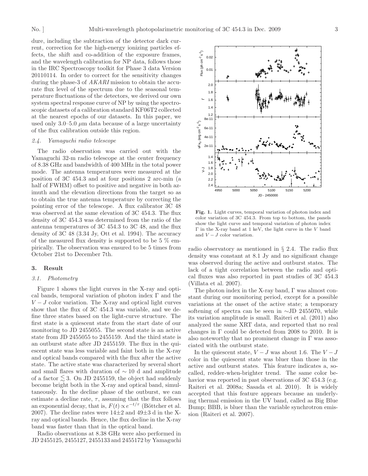dure, including the subtraction of the detector dark current, correction for the high-energy ionizing particles effects, the shift and co-addition of the exposure frames, and the wavelength calibration for NP data, follows those in the IRC Spectroscopy toolkit for Phase 3 data Version 20110114. In order to correct for the sensitivity changes during the phase-3 of AKARI mission to obtain the accurate flux level of the spectrum due to the seasonal temperature fluctuations of the detectors, we derived our own system spectral response curve of NP by using the spectroscopic datasets of a calibration standard KF06T2 collected at the nearest epochs of our datasets. In this paper, we used only 3.0–5.0  $\mu$ m data because of a large uncertainty of the flux calibration outside this region.

#### 2.4. Yamaguchi radio telescope

The radio observation was carried out with the Yamaguchi 32-m radio telescope at the center frequency of 8.38 GHz and bandwidth of 400 MHz in the total power mode. The antenna temperatures were measured at the position of 3C 454.3 and at four positions 2 arc-min (a half of FWHM) offset to positive and negative in both azimuth and the elevation directions from the target so as to obtain the true antenna temperature by correcting the pointing error of the telescope. A flux calibrator 3C 48 was observed at the same elevation of 3C 454.3. The flux density of 3C 454.3 was determined from the ratio of the antenna temperatures of 3C 454.3 to 3C 48, and the flux density of 3C 48 (3.34 Jy, Ott et al. 1994). The accuracy of the measured flux density is supported to be 5  $\%$  empirically. The observation was ensured to be 5 times from October 21st to December 7th.

### 3. Result

#### 3.1. Photometry

Figure 1 shows the light curves in the X-ray and optical bands, temporal variation of photon index Γ and the  $V - J$  color variation. The X-ray and optical light curves show that the flux of 3C 454.3 was variable, and we define three states based on the light-curve structure. The first state is a quiescent state from the start date of our monitoring to JD 2455055. The second state is an active state from JD 2455055 to 2455159. And the third state is an outburst state after JD 2455159. The flux in the quiescent state was less variable and faint both in the X-ray and optical bands compared with the flux after the active state. The active state was characterized by several short and small flares with duration of ∼ 10 d and amplitude of a factor  $\lesssim$  3. On JD 2455159, the object had suddenly become bright both in the X-ray and optical band, simultaneously. In the decline phase of the outburst, we can estimate a decline rate,  $\tau$ , assuming that the flux follows an exponential decay, that is,  $F(t) \propto e^{-t/\tau}$  (Böttcher et al. 2007). The decline rates were  $14\pm 2$  and  $49\pm 3$  d in the Xray and optical bands. Hence, the flux decline in the X-ray band was faster than that in the optical band.

Radio observations at 8.38 GHz were also performed in JD 2455125, 2455127, 2455133 and 2455172 by Yamaguchi



Fig. 1. Light curves, temporal variation of photon index and color variation of 3C 454.3. From top to bottom, the panels show the light curve and temporal variation of photon index Γ in the X-ray band at 1 keV, the light curve in the V band and  $V - J$  color variation.

radio observatory as mentioned in § 2.4. The radio flux density was constant at 8.1 Jy and no significant change was observed during the active and outburst states. The lack of a tight correlation between the radio and optical fluxes was also reported in past studies of 3C 454.3 (Villata et al. 2007).

The photon index in the X-ray band, Γ was almost constant during our monitoring period, except for a possible variations at the onset of the active state; a temporary softening of spectra can be seen in ∼JD 2455070, while its variation amplitude is small. Raiteri et al. (2011) also analyzed the same XRT data, and reported that no real changes in Γ could be detected from 2008 to 2010. It is also noteworthy that no prominent change in  $\Gamma$  was associated with the outburst state.

In the quiescent state,  $V - J$  was about 1.6. The  $V - J$ color in the quiescent state was bluer than those in the active and outburst states. This feature indicates a, socalled, redder-when-brighter trend. The same color behavior was reported in past observations of 3C 454.3 (e.g. Raiteri et al. 2008a; Sasada et al. 2010). It is widely accepted that this feature appears because an underlying thermal emission in the UV band, called as Big Blue Bump; BBB, is bluer than the variable synchrotron emission (Raiteri et al. 2007).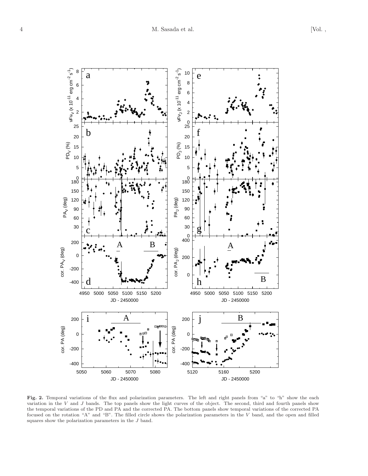

Fig. 2. Temporal variations of the flux and polarization parameters. The left and right panels from "a" to "h" show the each variation in the  $V$  and  $J$  bands. The top panels show the light curves of the object. The second, third and fourth panels show the temporal variations of the PD and PA and the corrected PA. The bottom panels show temporal variations of the corrected PA focused on the rotation "A" and "B". The filled circle shows the polarization parameters in the V band, and the open and filled squares show the polarization parameters in the  $J$  band.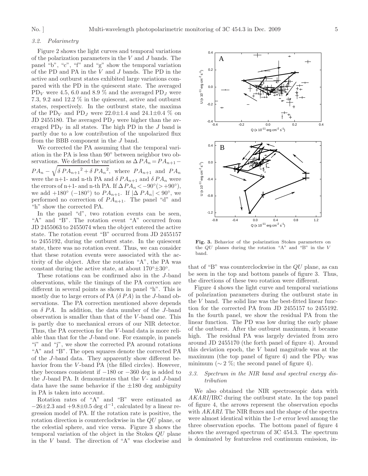#### 3.2. Polarimetry

Figure 2 shows the light curves and temporal variations of the polarization parameters in the V and J bands. The panel "b", "c", "f" and "g" show the temporal variation of the PD and PA in the  $V$  and  $J$  bands. The PD in the active and outburst states exhibited large variations compared with the PD in the quiescent state. The averaged PD<sub>V</sub> were 4.5, 6.0 and 8.9  $\%$  and the averaged PD<sub>J</sub> were 7.3, 9.2 and 12.2 % in the quiescent, active and outburst states, respectively. In the outburst state, the maxima of the PD<sub>V</sub> and PD<sub>J</sub> were 22.0 $\pm$ 1.4 and 24.1 $\pm$ 0.4  $\%$  on JD 2455180. The averaged  $PD_J$  were higher than the averaged  $PD_V$  in all states. The high PD in the J band is partly due to a low contribution of the unpolarized flux from the BBB component in the J band.

We corrected the PA assuming that the temporal variation in the PA is less than 90◦ between neighbor two observations. We defined the variation as  $\Delta PA_n = PA_{n+1}$  –  $PA_n - \sqrt{\delta P A_{n+1}^2 + \delta P A_n^2}$ , where  $PA_{n+1}$  and  $PA_n$ were the n+1- and n-th PA and  $\delta PA_{n+1}$  and  $\delta PA_n$  were the errors of n+1- and n-th PA. If  $\Delta PA_n < -90^\circ (> +90^\circ),$ we add  $+180^{\circ}$  ( $-180^{\circ}$ ) to  $PA_{n+1}$ . If  $|\Delta PA_n| < 90^{\circ}$ , we performed no correction of  $PA_{n+1}$ . The panel "d" and "h" show the corrected PA.

In the panel "d", two rotation events can be seen, "A" and "B". The rotation event "A" occurred from JD 2455063 to 2455074 when the object entered the active state. The rotation event "B" occurred from JD 2455157 to 2455192, during the outburst state. In the quiescent state, there was no rotation event. Thus, we can consider that these rotation events were associated with the activity of the object. After the rotation "A", the PA was constant during the active state, at about  $170^{\circ} \pm 30^{\circ}$ .

These rotations can be confirmed also in the J-band observations, while the timings of the PA correction are different in several points as shown in panel "h". This is mostly due to large errors of PA  $(\delta PA)$  in the J-band observations. The PA correction mentioned above depends on  $\delta PA$ . In addition, the data number of the *J*-band observation is smaller than that of the V -band one. This is partly due to mechanical errors of our NIR detector. Thus, the PA correction for the V-band data is more reliable than that for the J-band one. For example, in panels "i" and "j", we show the corrected PA around rotations "A" and "B". The open squares denote the corrected PA of the J-band data. They apparently show different behavior from the V-band PA (the filled circles). However, they becomes consistent if  $-180$  or  $-360$  deg is added to the J-band PA. It demonstrates that the V- and J-band data have the same behavior if the  $\pm 180$  deg ambiguity in PA is taken into account.

Rotation rates of "A" and "B" were estimated as  $-26\pm2.3$  and  $+9.8\pm0.5$  deg d<sup>-1</sup>, calculated by a linear regression model of PA. If the rotation rate is positive, the rotation direction is counterclockwise in the QU plane, or the celestial sphere, and vice versa. Figure 3 shows the temporal variation of the object in the Stokes QU plane in the V band. The direction of "A" was clockwise and



Fig. 3. Behavior of the polarization Stokes parameters on the QU planes during the rotation "A" and "B" in the V band.

that of "B" was counterclockwise in the QU plane, as can be seen in the top and bottom panels of figure 3. Thus, the directions of these two rotation were different.

Figure 4 shows the light curve and temporal variations of polarization parameters during the outburst state in the V band. The solid line was the best-fitted linear function for the corrected PA from JD 2455157 to 2455192. In the fourth panel, we show the residual PA from the linear function. The PD was low during the early phase of the outburst. After the outburst maximum, it became high. The residual PA was largely deviated from zero around JD 2455170 (the forth panel of figure 4). Around this deviation epoch, the  $V$  band magnitude was at the maximum (the top panel of figure 4) and the  $PD_V$  was minimum ( $\sim 2\%$ ; the second panel of figure 4).

# 3.3. Spectrum in the NIR band and spectral energy distribution

We also obtained the NIR spectroscopic data with AKARI/IRC during the outburst state. In the top panel of figure 4, the arrows represent the observation epochs with AKARI. The NIR fluxes and the shape of the spectra were almost identical within the  $1-\sigma$  error level among the three observation epochs. The bottom panel of figure 4 shows the averaged spectrum of 3C 454.3. The spectrum is dominated by featureless red continuum emission, in-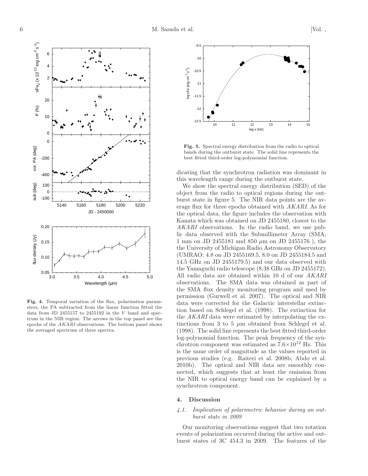

Fig. 4. Temporal variation of the flux, polarization parameters, the PA subtracted from the linear function fitted the data from JD 2455157 to 2455192 in the  $V$  band and spectrum in the NIR region. The arrows in the top panel are the epochs of the AKARI observations. The bottom panel shows the averaged spectrum of three spectra.



Fig. 5. Spectral energy distribution from the radio to optical bands during the outburst state. The solid line represents the best fitted third-order log-polynomial function.

dicating that the synchrotron radiation was dominant in this wavelength range during the outburst state.

We show the spectral energy distribution (SED) of the object from the radio to optical regions during the outburst state in figure 5. The NIR data points are the average flux for three epochs obtained with AKARI. As for the optical data, the figure includes the observation with Kanata which was obtained on JD 2455180, closest to the AKARI observations. In the radio band, we use public data observed with the Submillimeter Array (SMA; 1 mm on JD 2455181 and 850  $\mu$ m on JD 2455176 ), the the University of Michigan Radio Astronomy Observatory (UMRAO; 4.8 on JD 2455169.5, 8.0 on JD 2455184.5 and 14.5 GHz on JD 2455179.5) and our data observed with the Yamaguchi radio telescope (8.38 GHz on JD 2455172). All radio data are obtained within 10 d of our AKARI observations. The SMA data was obtained as part of the SMA flux density monitoring program and used by permission (Gurwell et al. 2007). The optical and NIR data were corrected for the Galactic interstellar extinction based on Schlegel et al. (1998). The extinction for the AKARI data were estimated by interpolating the extinctions from 3 to 5  $\mu$ m obtained from Schlegel et al. (1998). The solid line represents the best fitted third-order log-polynomial function. The peak frequency of the synchrotron component was estimated as  $7.6\times10^{12}$  Hz. This is the same order of magnitude as the values reported in previous studies (e.g. Raiteri et al. 2008b; Abdo et al. 2010b). The optical and NIR data are smoothly connected, which suggests that at least the emission from the NIR to optical energy band can be explained by a synchrotron component.

#### 4. Discussion

### 4.1. Implication of polarimetric behavior during an outburst state in 2009

Our monitoring observations suggest that two rotation events of polarization occurred during the active and outburst states of 3C 454.3 in 2009. The features of the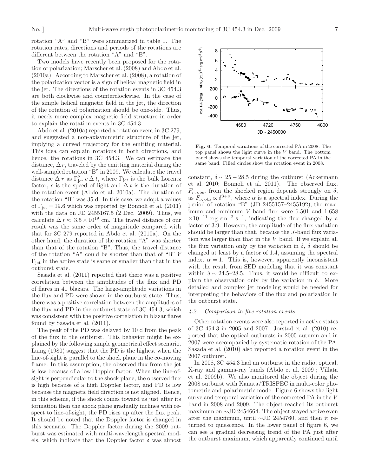rotation "A" and "B" were summarized in table 1. The rotation rates, directions and periods of the rotations are different between the rotation "A" and "B".

Two models have recently been proposed for the rotation of polarization; Marscher et al. (2008) and Abdo et al. (2010a). According to Marscher et al. (2008), a rotation of the polarization vector is a sign of helical magnetic field in the jet. The directions of the rotation events in 3C 454.3 are both clockwise and counterclockwise. In the case of the simple helical magnetic field in the jet, the direction of the rotation of polarization should be one-side. Thus, it needs more complex magnetic field structure in order to explain the rotation events in 3C 454.3.

Abdo et al. (2010a) reported a rotation event in 3C 279, and suggested a non-axisymmetric structure of the jet, implying a curved trajectory for the emitting material. This idea can explain rotations in both directions, and hence, the rotations in 3C 454.3. We can estimate the distance,  $\Delta r$ , traveled by the emitting material during the well-sampled rotation "B" in 2009. We calculate the travel distance  $\Delta r$  as  $\Gamma_{\rm jet}^2 c \Delta t$ , where  $\Gamma_{\rm jet}$  is the bulk Lorentz factor, c is the speed of light and  $\Delta t$  is the duration of the rotation event (Abdo et al. 2010a). The duration of the rotation "B" was 35 d. In this case, we adopt a values of  $\Gamma_{\rm jet} = 19.6$  which was reported by Bonnoli et al. (2011) with the data on JD 2455167.5 (2 Dec. 2009). Thus, we calculate  $\Delta r \approx 3.5 \times 10^{19}$  cm. The travel distance of our result was the same order of magnitude compared with that for 3C 279 reported in Abdo et al. (2010a). On the other hand, the duration of the rotation "A" was shorter than that of the rotation "B". Thus, the travel distance of the rotation "A" could be shorter than that of "B" if  $\Gamma_{\text{jet}}$  in the active state is same or smaller than that in the outburst state.

Sasada et al. (2011) reported that there was a positive correlation between the amplitudes of the flux and PD of flares in 41 blazars. The large-amplitude variations in the flux and PD were shown in the outburst state. Thus, there was a positive correlation between the amplitudes of the flux and PD in the outburst state of 3C 454.3, which was consistent with the positive correlation in blazar flares found by Sasada et al. (2011).

The peak of the PD was delayed by 10 d from the peak of the flux in the outburst. This behavior might be explained by the following simple geometrical effect scenario. Laing (1980) suggest that the PD is the highest when the line-of-sight is parallel to the shock plane in the co-moving frame. In this assumption, the observed flux from the jet is low because of a low Doppler factor. When the line-ofsight is perpendicular to the shock plane, the observed flux is high because of a high Doppler factor, and PD is low because the magnetic field direction is not aligned. Hence, in this scheme, if the shock comes toward us just after its formation then the shock plane gradually inclines with respect to line-of-sight, the PD rises up after the flux peak. It should be noted that the Doppler factor is changed in this scenario. The Doppler factor during the 2009 outburst was estimated with multi-wavelength spectral models, which indicate that the Doppler factor  $\delta$  was almost



Fig. 6. Temporal variations of the corrected PA in 2008. The top panel shows the light curve in the V band. The bottom panel shows the temporal variation of the corrected PA in the same band. Filled circles show the rotation event in 2008.

constant,  $\delta \sim 25 - 28.5$  during the outburst (Ackermann et al. 2010; Bonnoli et al. 2011). The observed flux,  $F_{\nu, \text{obs}}$ , from the shocked region depends strongly on  $\delta$ , as  $F_{\nu, \text{obs}} \propto \delta^{3+\alpha}$ , where  $\alpha$  is a spectral index. During the period of rotation "B" (JD 2455157–2455192), the maximum and minimum V-band flux were 6.501 and 1.658  $\times 10^{-11}$  erg cm<sup>-2</sup> s<sup>-1</sup>, indicating the flux changed by a factor of 3.9. However, the amplitude of the flux variation should be larger than that, because the J-band flux variation was larger than that in the V band. If we explain all the flux variation only by the variation in  $\delta$ ,  $\delta$  should be changed at least by a factor of 1.4, assuming the spectral index,  $\alpha = 1$ . This is, however, apparently inconsistent with the result from SED modeling that it was constant within  $\delta \sim 24.5$ –28.5. Thus, it would be difficult to explain the observation only by the variation in  $\delta$ . More detailed and complex jet modeling would be needed for interpreting the behaviors of the flux and polarization in the outburst state.

#### 4.2. Comparison in five rotation events

Other rotation events were also reported in active states of 3C 454.3 in 2005 and 2007. Jorstad et al. (2010) reported that the optical outbursts in 2005 autumn and in 2007 were accompanied by systematic rotation of the PA. Sasada et al. (2010) also reported a rotation event in the 2007 outburst.

In 2008, 3C 454.3 had an outburst in the radio, optical, X-ray and gamma-ray bands (Abdo et al. 2009 ; Villata et al. 2009b). We also monitored the object during the 2008 outburst with Kanata/TRISPEC in multi-color photometric and polarimetric mode. Figure 6 shows the light curve and temporal variation of the corrected PA in the V band in 2008 and 2009. The object reached its outburst maximum on ∼JD 2454664. The object stayed active even after the maximum, until ∼JD 2454760, and then it returned to quiescence. In the lower panel of figure 6, we can see a gradual decreasing trend of the PA just after the outburst maximum, which apparently continued until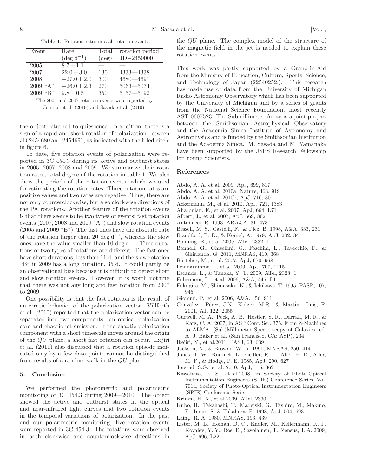| Event                                              | Rate                  | Total          | rotation period |  |
|----------------------------------------------------|-----------------------|----------------|-----------------|--|
|                                                    | $(\text{deg d}^{-1})$ | $(\text{deg})$ | $JD - 2450000$  |  |
| 2005                                               | $8.7 \pm 1.1$         |                |                 |  |
| 2007                                               | $22.0 \pm 3.0$        | 130            | $4333 - 4338$   |  |
| 2008                                               | $-27.0 \pm 2.0$       | 300            | $4680 - 4691$   |  |
| 2009 "A"                                           | $-26.0 \pm 2.3$       | 270            | $5063 - 5074$   |  |
| $2009$ "B"                                         | $9.8 \pm 0.5$         | 350            | $5157 - 5192$   |  |
| The 2005 and 2007 rotation events were reported by |                       |                |                 |  |

Table 1. Rotation rates in each rotation event.

Jorstad et al. (2010) and Sasada et al. (2010).

the object returned to quiescence. In addition, there is a sign of a rapid and short rotation of polarization between JD 2454680 and 2454691, as indicated with the filled circle in figure 6.

To date, five rotation events of polarization were reported in 3C 454.3 during its active and outburst states in 2005, 2007, 2008 and 2009. We summarize their rotation rates, total degree of the rotation in table 1. We also show the periods of the rotation events, which we used for estimating the rotation rates. Three rotation rates are positive values and two rates are negative. Thus, there are not only counterclockwise, but also clockwise directions of the PA rotations. Another feature of the rotation events is that there seems to be two types of events; fast rotation events (2007, 2008 and 2009 "A") and slow rotation events (2005 and 2009 "B"). The fast ones have the absolute rate of the rotation larger than 20 deg  $d^{-1}$ , whereas the slow ones have the value smaller than 10 deg  $d^{-1}$ . Time durations of two types of rotations are different. The fast ones have short durations, less than 11 d, and the slow rotation "B" in 2009 has a long duration, 35 d. It could partly be an observational bias because it is difficult to detect short and slow rotation events. However, it is worth nothing that there was not any long and fast rotation from 2007 to 2009.

One possibility is that the fast rotation is the result of an erratic behavior of the polarization vector. Villforth et al. (2010) reported that the polarization vector can be separated into two components: an optical polarization core and chaotic jet emission. If the chaotic polarization component with a short timescale moves around the origin of the QU plane, a short fast rotation can occur. Ikejiri et al. (2011) also discussed that a rotation episode indicated only by a few data points cannot be distinguished from results of a random walk in the QU plane.

# 5. Conclusion

We performed the photometric and polarimetric monitoring of 3C 454.3 during 2009—2010. The object showed the active and outburst states in the optical and near-infrared light curves and two rotation events in the temporal variations of polarization. In the past and our polarimetric monitoring, five rotation events were reported in 3C 454.3. The rotations were observed in both clockwise and counterclockwise directions in the QU plane. The complex model of the structure of the magnetic field in the jet is needed to explain these rotation events.

This work was partly supported by a Grand-in-Aid from the Ministry of Education, Culture, Sports, Science, and Technology of Japan (22540252,). This research has made use of data from the University of Michigan Radio Astronomy Observatory which has been supported by the University of Michigan and by a series of grants from the National Science Foundation, most recently AST-0607523. The Submillimeter Array is a joint project between the Smithsonian Astrophysical Observatory and the Academia Sinica Institute of Astronomy and Astrophysics and is funded by the Smithsonian Institution and the Academia Sinica. M. Sasada and M. Yamanaka have been supported by the JSPS Research Fellowship for Young Scientists.

#### References

- Abdo, A. A. et al. 2009, ApJ, 699, 817
- Abdo, A. A. et al. 2010a, Nature, 463, 919
- Abdo, A. A. et al. 2010b, ApJ, 716, 30
- Ackermann, M., et al. 2010, ApJ, 721, 1383
- Aharonian, F., et al. 2007, ApJ, 664, L71
- Albert, J., et al. 2007, ApJ, 669, 862
- Antonucci, R. 1993, ARA&A, 31, 473
- Bessell, M. S., Castelli, F., & Plez, B. 1998, A&A, 333, 231
- Blandford, R. D., & Königl, A. 1979, ApJ, 232, 34
- Bonning, E., et al. 2009, ATel, 2332, 1
- Bonnoli, G., Ghisellini, G., Foschini, L., Tavecchio, F., & Ghirlanda, G. 2011, MNRAS, 410, 368
- Böttcher, M., et al. 2007, ApJ, 670, 968
- Donnarumma, I., et al. 2009, ApJ, 707, 1115
- Escande, L., & Tanaka, Y. T. 2009, ATel, 2328, 1
- Fuhrmann, L., et al. 2006, A&A, 445, L1
- Fukugita, M., Shimasaku, K., & Ichikawa, T. 1995, PASP, 107, 945
- Giommi, P., et al. 2006, A&A, 456, 911
- González Pérez, J.N., Kidger, M.R., & Martin Luis, F. 2001, AJ, 122, 2055
- Gurwell, M. A., Peck, A. B., Hostler, S. R., Darrah, M. R., & Katz, C. A. 2007, in ASP Conf. Ser. 375, From Z-Machines to ALMA: (Sub)Millimeter Spectroscopy of Galaxies, ed. A. J. Baker et al. (San Francisco, CA: ASP), 234
- Ikejiri, Y., et al.2011, PASJ, 63, 639
- Jackson, N., & Browne, W. A. 1991, MNRAS, 250, 414
- Jones, T. W., Rudnick, L., Fiedler, R. L., Aller, H. D., Aller, M. F., & Hodge, P. E. 1985, ApJ, 290, 627
- Jorstad, S.G., et al. 2010, ApJ, 715, 362
- Kawabata, K. S., et al.2008, in Society of Photo-Optical Instrumentation Engineers (SPIE) Conference Series, Vol. 7014, Society of Photo-Optical Instrumentation Engineers (SPIE) Conference Serie
- Krimm, H. A., et al.2009, ATel, 2330, 1
- Kubo, H., Takahashi, T., Madejski, G., Tashiro, M., Makino, F., Inoue, S. & Takahara, F. 1998, ApJ, 504, 693
- Laing, R. A. 1980, MNRAS, 193, 439
- Lister, M. L., Homan, D. C., Kadler, M., Kellermann, K. I., Kovalev, Y. Y., Ros, E., Savolainen, T., Zensus, J. A. 2009, ApJ, 696, L22